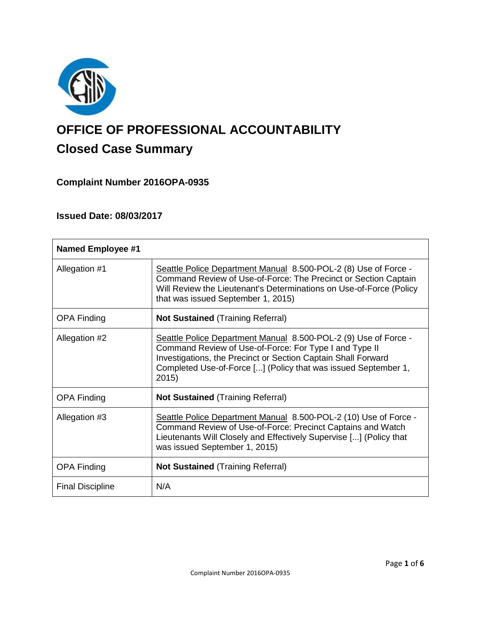

# **OFFICE OF PROFESSIONAL ACCOUNTABILITY Closed Case Summary**

# **Complaint Number 2016OPA-0935**

# **Issued Date: 08/03/2017**

| <b>Named Employee #1</b> |                                                                                                                                                                                                                                                                       |
|--------------------------|-----------------------------------------------------------------------------------------------------------------------------------------------------------------------------------------------------------------------------------------------------------------------|
| Allegation #1            | Seattle Police Department Manual 8.500-POL-2 (8) Use of Force -<br>Command Review of Use-of-Force: The Precinct or Section Captain<br>Will Review the Lieutenant's Determinations on Use-of-Force (Policy<br>that was issued September 1, 2015)                       |
| <b>OPA Finding</b>       | <b>Not Sustained (Training Referral)</b>                                                                                                                                                                                                                              |
| Allegation #2            | Seattle Police Department Manual 8.500-POL-2 (9) Use of Force -<br>Command Review of Use-of-Force: For Type I and Type II<br>Investigations, the Precinct or Section Captain Shall Forward<br>Completed Use-of-Force [] (Policy that was issued September 1,<br>2015) |
| <b>OPA Finding</b>       | <b>Not Sustained (Training Referral)</b>                                                                                                                                                                                                                              |
| Allegation #3            | Seattle Police Department Manual 8.500-POL-2 (10) Use of Force -<br>Command Review of Use-of-Force: Precinct Captains and Watch<br>Lieutenants Will Closely and Effectively Supervise [] (Policy that<br>was issued September 1, 2015)                                |
| <b>OPA Finding</b>       | <b>Not Sustained (Training Referral)</b>                                                                                                                                                                                                                              |
| <b>Final Discipline</b>  | N/A                                                                                                                                                                                                                                                                   |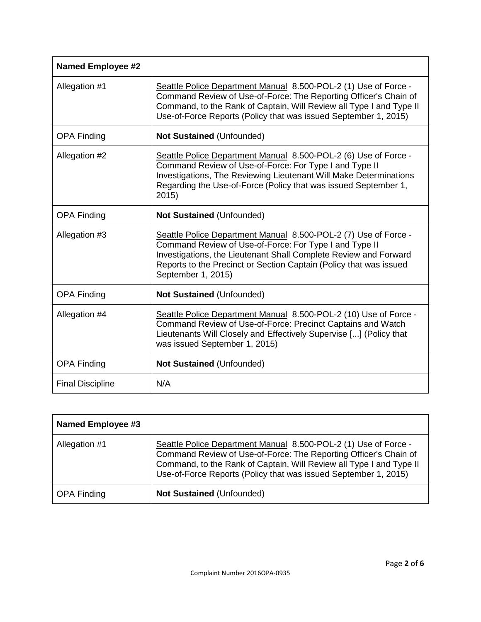| <b>Named Employee #2</b> |                                                                                                                                                                                                                                                                                           |  |
|--------------------------|-------------------------------------------------------------------------------------------------------------------------------------------------------------------------------------------------------------------------------------------------------------------------------------------|--|
| Allegation #1            | Seattle Police Department Manual 8.500-POL-2 (1) Use of Force -<br>Command Review of Use-of-Force: The Reporting Officer's Chain of<br>Command, to the Rank of Captain, Will Review all Type I and Type II<br>Use-of-Force Reports (Policy that was issued September 1, 2015)             |  |
| <b>OPA Finding</b>       | <b>Not Sustained (Unfounded)</b>                                                                                                                                                                                                                                                          |  |
| Allegation #2            | Seattle Police Department Manual 8.500-POL-2 (6) Use of Force -<br>Command Review of Use-of-Force: For Type I and Type II<br>Investigations, The Reviewing Lieutenant Will Make Determinations<br>Regarding the Use-of-Force (Policy that was issued September 1,<br>2015)                |  |
| <b>OPA Finding</b>       | <b>Not Sustained (Unfounded)</b>                                                                                                                                                                                                                                                          |  |
| Allegation #3            | Seattle Police Department Manual 8.500-POL-2 (7) Use of Force -<br>Command Review of Use-of-Force: For Type I and Type II<br>Investigations, the Lieutenant Shall Complete Review and Forward<br>Reports to the Precinct or Section Captain (Policy that was issued<br>September 1, 2015) |  |
| <b>OPA Finding</b>       | Not Sustained (Unfounded)                                                                                                                                                                                                                                                                 |  |
| Allegation #4            | Seattle Police Department Manual 8.500-POL-2 (10) Use of Force -<br>Command Review of Use-of-Force: Precinct Captains and Watch<br>Lieutenants Will Closely and Effectively Supervise [] (Policy that<br>was issued September 1, 2015)                                                    |  |
| <b>OPA Finding</b>       | <b>Not Sustained (Unfounded)</b>                                                                                                                                                                                                                                                          |  |
| <b>Final Discipline</b>  | N/A                                                                                                                                                                                                                                                                                       |  |

| Named Employee #3  |                                                                                                                                                                                                                                                                               |
|--------------------|-------------------------------------------------------------------------------------------------------------------------------------------------------------------------------------------------------------------------------------------------------------------------------|
| Allegation #1      | Seattle Police Department Manual 8.500-POL-2 (1) Use of Force -<br>Command Review of Use-of-Force: The Reporting Officer's Chain of<br>Command, to the Rank of Captain, Will Review all Type I and Type II<br>Use-of-Force Reports (Policy that was issued September 1, 2015) |
| <b>OPA Finding</b> | Not Sustained (Unfounded)                                                                                                                                                                                                                                                     |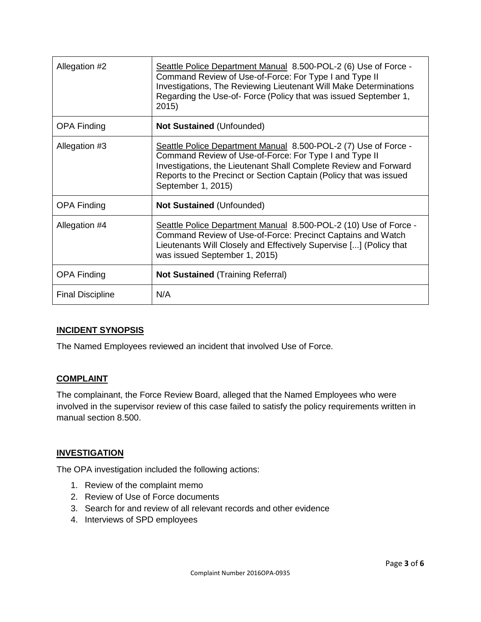| Allegation #2           | Seattle Police Department Manual 8.500-POL-2 (6) Use of Force -<br>Command Review of Use-of-Force: For Type I and Type II<br>Investigations, The Reviewing Lieutenant Will Make Determinations<br>Regarding the Use-of- Force (Policy that was issued September 1,<br>2015)               |
|-------------------------|-------------------------------------------------------------------------------------------------------------------------------------------------------------------------------------------------------------------------------------------------------------------------------------------|
| <b>OPA Finding</b>      | <b>Not Sustained (Unfounded)</b>                                                                                                                                                                                                                                                          |
| Allegation #3           | Seattle Police Department Manual 8.500-POL-2 (7) Use of Force -<br>Command Review of Use-of-Force: For Type I and Type II<br>Investigations, the Lieutenant Shall Complete Review and Forward<br>Reports to the Precinct or Section Captain (Policy that was issued<br>September 1, 2015) |
| <b>OPA Finding</b>      | <b>Not Sustained (Unfounded)</b>                                                                                                                                                                                                                                                          |
| Allegation #4           | Seattle Police Department Manual 8.500-POL-2 (10) Use of Force -<br>Command Review of Use-of-Force: Precinct Captains and Watch<br>Lieutenants Will Closely and Effectively Supervise [] (Policy that<br>was issued September 1, 2015)                                                    |
| <b>OPA Finding</b>      | <b>Not Sustained (Training Referral)</b>                                                                                                                                                                                                                                                  |
| <b>Final Discipline</b> | N/A                                                                                                                                                                                                                                                                                       |

# **INCIDENT SYNOPSIS**

The Named Employees reviewed an incident that involved Use of Force.

#### **COMPLAINT**

The complainant, the Force Review Board, alleged that the Named Employees who were involved in the supervisor review of this case failed to satisfy the policy requirements written in manual section 8.500.

#### **INVESTIGATION**

The OPA investigation included the following actions:

- 1. Review of the complaint memo
- 2. Review of Use of Force documents
- 3. Search for and review of all relevant records and other evidence
- 4. Interviews of SPD employees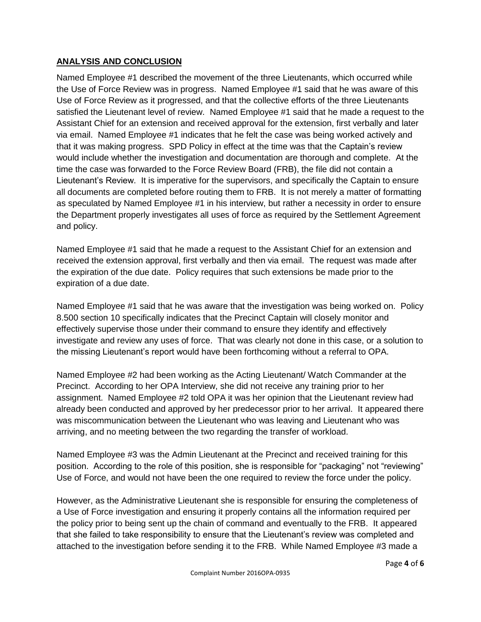# **ANALYSIS AND CONCLUSION**

Named Employee #1 described the movement of the three Lieutenants, which occurred while the Use of Force Review was in progress. Named Employee #1 said that he was aware of this Use of Force Review as it progressed, and that the collective efforts of the three Lieutenants satisfied the Lieutenant level of review. Named Employee #1 said that he made a request to the Assistant Chief for an extension and received approval for the extension, first verbally and later via email. Named Employee #1 indicates that he felt the case was being worked actively and that it was making progress. SPD Policy in effect at the time was that the Captain's review would include whether the investigation and documentation are thorough and complete. At the time the case was forwarded to the Force Review Board (FRB), the file did not contain a Lieutenant's Review. It is imperative for the supervisors, and specifically the Captain to ensure all documents are completed before routing them to FRB. It is not merely a matter of formatting as speculated by Named Employee #1 in his interview, but rather a necessity in order to ensure the Department properly investigates all uses of force as required by the Settlement Agreement and policy.

Named Employee #1 said that he made a request to the Assistant Chief for an extension and received the extension approval, first verbally and then via email. The request was made after the expiration of the due date. Policy requires that such extensions be made prior to the expiration of a due date.

Named Employee #1 said that he was aware that the investigation was being worked on. Policy 8.500 section 10 specifically indicates that the Precinct Captain will closely monitor and effectively supervise those under their command to ensure they identify and effectively investigate and review any uses of force. That was clearly not done in this case, or a solution to the missing Lieutenant's report would have been forthcoming without a referral to OPA.

Named Employee #2 had been working as the Acting Lieutenant/ Watch Commander at the Precinct. According to her OPA Interview, she did not receive any training prior to her assignment. Named Employee #2 told OPA it was her opinion that the Lieutenant review had already been conducted and approved by her predecessor prior to her arrival. It appeared there was miscommunication between the Lieutenant who was leaving and Lieutenant who was arriving, and no meeting between the two regarding the transfer of workload.

Named Employee #3 was the Admin Lieutenant at the Precinct and received training for this position. According to the role of this position, she is responsible for "packaging" not "reviewing" Use of Force, and would not have been the one required to review the force under the policy.

However, as the Administrative Lieutenant she is responsible for ensuring the completeness of a Use of Force investigation and ensuring it properly contains all the information required per the policy prior to being sent up the chain of command and eventually to the FRB. It appeared that she failed to take responsibility to ensure that the Lieutenant's review was completed and attached to the investigation before sending it to the FRB. While Named Employee #3 made a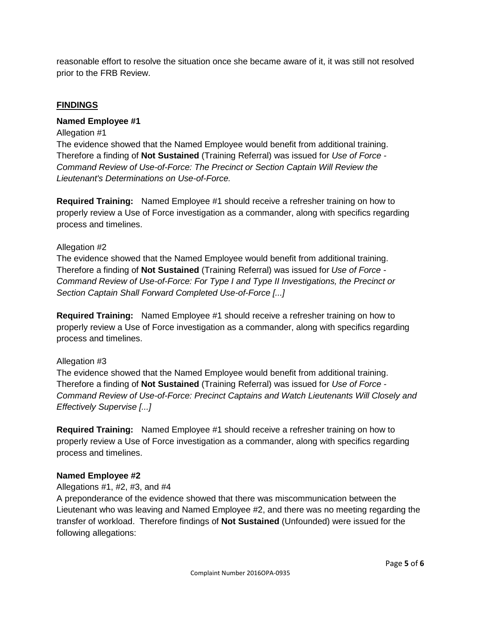reasonable effort to resolve the situation once she became aware of it, it was still not resolved prior to the FRB Review.

#### **FINDINGS**

#### **Named Employee #1**

#### Allegation #1

The evidence showed that the Named Employee would benefit from additional training. Therefore a finding of **Not Sustained** (Training Referral) was issued for *Use of Force - Command Review of Use-of-Force: The Precinct or Section Captain Will Review the Lieutenant's Determinations on Use-of-Force.*

**Required Training:** Named Employee #1 should receive a refresher training on how to properly review a Use of Force investigation as a commander, along with specifics regarding process and timelines.

#### Allegation #2

The evidence showed that the Named Employee would benefit from additional training. Therefore a finding of **Not Sustained** (Training Referral) was issued for *Use of Force - Command Review of Use-of-Force: For Type I and Type II Investigations, the Precinct or Section Captain Shall Forward Completed Use-of-Force [...]*

**Required Training:** Named Employee #1 should receive a refresher training on how to properly review a Use of Force investigation as a commander, along with specifics regarding process and timelines.

#### Allegation #3

The evidence showed that the Named Employee would benefit from additional training. Therefore a finding of **Not Sustained** (Training Referral) was issued for *Use of Force - Command Review of Use-of-Force: Precinct Captains and Watch Lieutenants Will Closely and Effectively Supervise [...]*

**Required Training:** Named Employee #1 should receive a refresher training on how to properly review a Use of Force investigation as a commander, along with specifics regarding process and timelines.

#### **Named Employee #2**

#### Allegations #1, #2, #3, and #4

A preponderance of the evidence showed that there was miscommunication between the Lieutenant who was leaving and Named Employee #2, and there was no meeting regarding the transfer of workload. Therefore findings of **Not Sustained** (Unfounded) were issued for the following allegations: